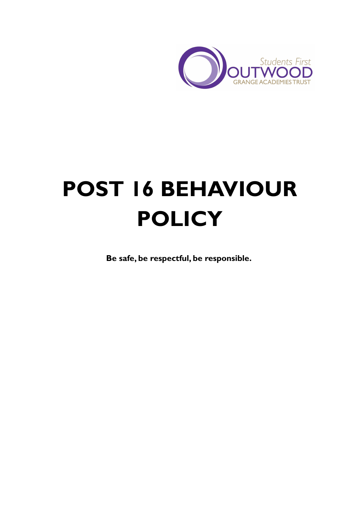

# **POST 16 BEHAVIOUR POLICY**

**Be safe, be respectful, be responsible.**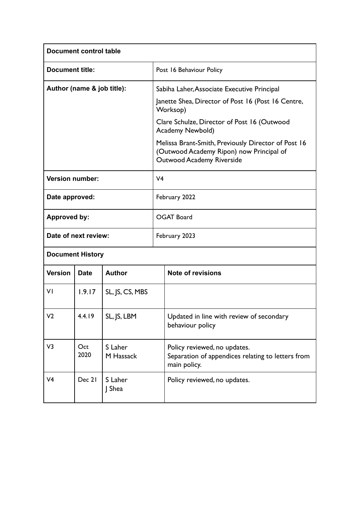| <b>Document control table</b> |             |                      |                                                                                                                                     |                                                                                                   |
|-------------------------------|-------------|----------------------|-------------------------------------------------------------------------------------------------------------------------------------|---------------------------------------------------------------------------------------------------|
| <b>Document title:</b>        |             |                      |                                                                                                                                     | Post 16 Behaviour Policy                                                                          |
| Author (name & job title):    |             |                      |                                                                                                                                     | Sabiha Laher, Associate Executive Principal                                                       |
|                               |             |                      |                                                                                                                                     | Janette Shea, Director of Post 16 (Post 16 Centre,<br>Worksop)                                    |
|                               |             |                      |                                                                                                                                     | Clare Schulze, Director of Post 16 (Outwood<br>Academy Newbold)                                   |
|                               |             |                      | Melissa Brant-Smith, Previously Director of Post 16<br>(Outwood Academy Ripon) now Principal of<br><b>Outwood Academy Riverside</b> |                                                                                                   |
| <b>Version number:</b>        |             |                      | V <sub>4</sub>                                                                                                                      |                                                                                                   |
| Date approved:                |             |                      | February 2022                                                                                                                       |                                                                                                   |
| <b>Approved by:</b>           |             |                      |                                                                                                                                     | <b>OGAT Board</b>                                                                                 |
| Date of next review:          |             |                      |                                                                                                                                     | February 2023                                                                                     |
| <b>Document History</b>       |             |                      |                                                                                                                                     |                                                                                                   |
| <b>Version</b>                | <b>Date</b> | <b>Author</b>        |                                                                                                                                     | <b>Note of revisions</b>                                                                          |
| ٧I                            | 1.9.17      | SL, JS, CS, MBS      |                                                                                                                                     |                                                                                                   |
| V <sub>2</sub>                | 4.4.19      | SL, JS, LBM          |                                                                                                                                     | Updated in line with review of secondary<br>behaviour policy                                      |
| V3                            | Oct<br>2020 | S Laher<br>M Hassack |                                                                                                                                     | Policy reviewed, no updates.<br>Separation of appendices relating to letters from<br>main policy. |
| V <sub>4</sub>                | Dec 21      | S Laher<br>J Shea    |                                                                                                                                     | Policy reviewed, no updates.                                                                      |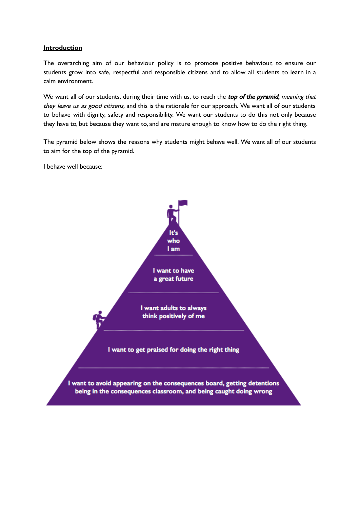## **Introduction**

The overarching aim of our behaviour policy is to promote positive behaviour, to ensure our students grow into safe, respectful and responsible citizens and to allow all students to learn in a calm environment.

We want all of our students, during their time with us, to reach the top of the pyramid, meaning that they leave us as good citizens, and this is the rationale for our approach. We want all of our students to behave with dignity, safety and responsibility. We want our students to do this not only because they have to, but because they want to, and are mature enough to know how to do the right thing.

The pyramid below shows the reasons why students might behave well. We want all of our students to aim for the top of the pyramid.

I behave well because:

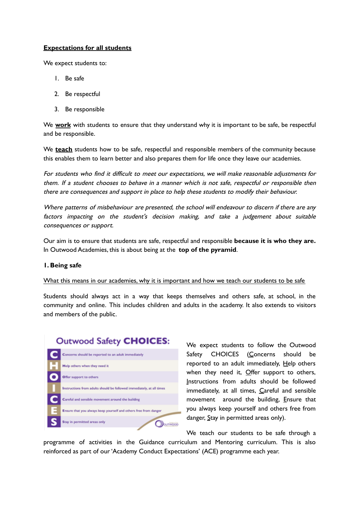# **Expectations for all students**

We expect students to:

- 1. Be safe
- 2. Be respectful
- 3. Be responsible

We **work** with students to ensure that they understand why it is important to be safe, be respectful and be responsible.

We **teach** students how to be safe, respectful and responsible members of the community because this enables them to learn better and also prepares them for life once they leave our academies.

For students who find it difficult to meet our expectations, we will make reasonable adjustments for them. If <sup>a</sup> student chooses to behave in <sup>a</sup> manner which is not safe, respectful or responsible then there are consequences and support in place to help these students to modify their behaviour.

Where patterns of misbehaviour are presented, the school will endeavour to discern if there are any factors impacting on the student's decision making, and take <sup>a</sup> judgement about suitable consequences or support.

Our aim is to ensure that students are safe, respectful and responsible **because it is who they are.** In Outwood Academies, this is about being at the **top of the pyramid**.

### **1. Being safe**

### What this means in our academies, why it is important and how we teach our students to be safe

Students should always act in a way that keeps themselves and others safe, at school, in the community and online. This includes children and adults in the academy. It also extends to visitors and members of the public.

# **Outwood Safety CHOICES:**



We expect students to follow the Outwood Safety CHOICES (Concerns should be reported to an adult immediately, Help others when they need it,  $Q$ ffer support to others, Instructions from adults should be followed immediately, at all times, Careful and sensible movement around the building, Ensure that you always keep yourself and others free from danger, Stay in permitted areas only).

We teach our students to be safe through a

programme of activities in the Guidance curriculum and Mentoring curriculum. This is also reinforced as part of our'Academy Conduct Expectations' (ACE) programme each year.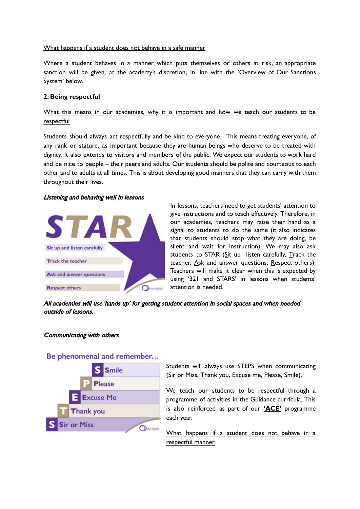# What happens if a student does not behave in a safe manner

Where a student behaves in a manner which puts themselves or others at risk, an appropriate sanction will be given, at the academy's discretion, in line with the 'Overview of Our Sanctions System' below.

# **2. Being respectful**

What this means in our academies, why it is important and how we teach our students to be respectful

Students should always act respectfully and be kind to everyone. This means treating everyone, of any rank or stature, as important because they are human beings who deserve to be treated with dignity. It also extends to visitors and members of the public. We expect our students to work hard and be nice to people – their peers and adults. Our students should be polite and courteous to each other and to adults at all times. This is about developing good manners that they can carry with them throughout their lives.

### Listening and behaving well in lessons



In lessons, teachers need to get students' attention to give instructions and to teach effectively. Therefore, in our academies, teachers may raise their hand as a signal to students to do the same (it also indicates that students should stop what they are doing, be silent and wait for instruction). We may also ask students to STAR ( $Si$ t up listen carefully,  $T$ rack the teacher, Ask and answer questions, Respect others). Teachers will make it clear when this is expected by using '321 and STARS' in lessons when students' attention is needed.

All academies will use 'hands up' for getting student attention in social spaces and when needed outside of lessons.

### Communicating with others



# Be phenomenal and remember...

Students will always use STEPS when communicating (Sir or Miss, Thank you, Excuse me, Please, Smile).

We teach our students to be respectful through a programme of activities in the Guidance curricula. This is also reinforced as part of our **'ACE'** programme each year.

What happens if a student does not behave in a respectful manner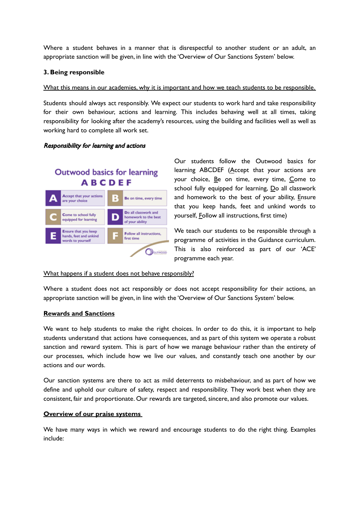Where a student behaves in a manner that is disrespectful to another student or an adult, an appropriate sanction will be given, in line with the 'Overview of Our Sanctions System' below.

# **3. Being responsible**

## What this means in our academies, why it is important and how we teach students to be responsible.

Students should always act responsibly. We expect our students to work hard and take responsibility for their own behaviour, actions and learning. This includes behaving well at all times, taking responsibility for looking after the academy's resources, using the building and facilities well as well as working hard to complete all work set.

### Responsibility for learning and actions

# **Outwood basics for learning ABCDEF**



Our students follow the Outwood basics for learning ABCDEF (Accept that your actions are your choice, Be on time, every time, Come to school fully equipped for learning, Do all classwork and homework to the best of your ability, Ensure that you keep hands, feet and unkind words to yourself, Follow all instructions, first time)

We teach our students to be responsible through a programme of activities in the Guidance curriculum. This is also reinforced as part of our 'ACE' programme each year.

### What happens if a student does not behave responsibly?

Where a student does not act responsibly or does not accept responsibility for their actions, an appropriate sanction will be given, in line with the 'Overview of Our Sanctions System' below.

### **Rewards and Sanctions**

We want to help students to make the right choices. In order to do this, it is important to help students understand that actions have consequences, and as part of this system we operate a robust sanction and reward system. This is part of how we manage behaviour rather than the entirety of our processes, which include how we live our values, and constantly teach one another by our actions and our words.

Our sanction systems are there to act as mild deterrents to misbehaviour, and as part of how we define and uphold our culture of safety, respect and responsibility. They work best when they are consistent, fair and proportionate. Our rewards are targeted, sincere, and also promote our values.

### **Overview of our praise systems**

We have many ways in which we reward and encourage students to do the right thing. Examples include: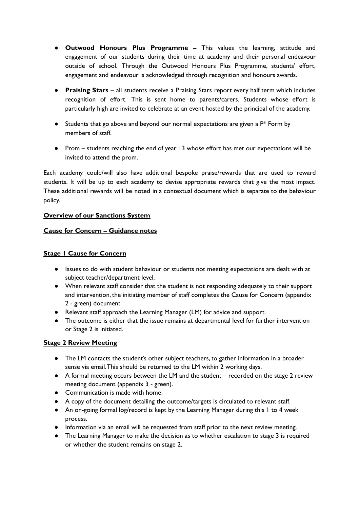- **Outwood Honours Plus Programme –** This values the learning, attitude and engagement of our students during their time at academy and their personal endeavour outside of school. Through the Outwood Honours Plus Programme, students' effort, engagement and endeavour is acknowledged through recognition and honours awards.
- **Praising Stars** all students receive a Praising Stars report every half term which includes recognition of effort. This is sent home to parents/carers. Students whose effort is particularly high are invited to celebrate at an event hosted by the principal of the academy.
- $\bullet$  Students that go above and beyond our normal expectations are given a  $P^*$  Form by members of staff.
- Prom students reaching the end of year 13 whose effort has met our expectations will be invited to attend the prom.

Each academy could/will also have additional bespoke praise/rewards that are used to reward students. It will be up to each academy to devise appropriate rewards that give the most impact. These additional rewards will be noted in a contextual document which is separate to the behaviour policy.

# **Overview of our Sanctions System**

# **Cause for Concern – Guidance notes**

# **Stage 1 Cause for Concern**

- Issues to do with student behaviour or students not meeting expectations are dealt with at subject teacher/department level.
- When relevant staff consider that the student is not responding adequately to their support and intervention, the initiating member of staff completes the Cause for Concern (appendix 2 - green) document
- Relevant staff approach the Learning Manager (LM) for advice and support.
- The outcome is either that the issue remains at departmental level for further intervention or Stage 2 is initiated.

# **Stage 2 Review Meeting**

- The LM contacts the student's other subject teachers, to gather information in a broader sense via email.This should be returned to the LM within 2 working days.
- A formal meeting occurs between the LM and the student recorded on the stage 2 review meeting document (appendix 3 - green).
- Communication is made with home.
- A copy of the document detailing the outcome/targets is circulated to relevant staff.
- An on-going formal log/record is kept by the Learning Manager during this 1 to 4 week process.
- Information via an email will be requested from staff prior to the next review meeting.
- The Learning Manager to make the decision as to whether escalation to stage 3 is required or whether the student remains on stage 2.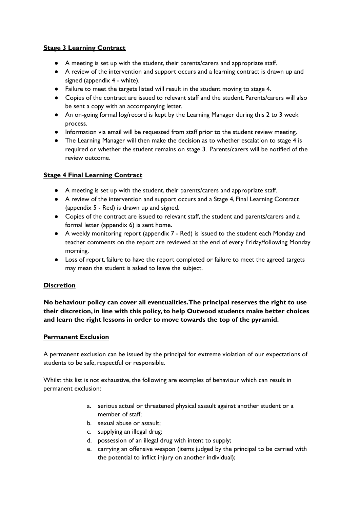# **Stage 3 Learning Contract**

- A meeting is set up with the student, their parents/carers and appropriate staff.
- A review of the intervention and support occurs and a learning contract is drawn up and signed (appendix 4 - white).
- Failure to meet the targets listed will result in the student moving to stage 4.
- Copies of the contract are issued to relevant staff and the student. Parents/carers will also be sent a copy with an accompanying letter.
- An on-going formal log/record is kept by the Learning Manager during this 2 to 3 week process.
- Information via email will be requested from staff prior to the student review meeting.
- The Learning Manager will then make the decision as to whether escalation to stage 4 is required or whether the student remains on stage 3. Parents/carers will be notified of the review outcome.

# **Stage 4 Final Learning Contract**

- A meeting is set up with the student, their parents/carers and appropriate staff.
- A review of the intervention and support occurs and a Stage 4, Final Learning Contract (appendix 5 - Red) is drawn up and signed.
- Copies of the contract are issued to relevant staff, the student and parents/carers and a formal letter (appendix 6) is sent home.
- A weekly monitoring report (appendix 7 Red) is issued to the student each Monday and teacher comments on the report are reviewed at the end of every Friday/following Monday morning.
- Loss of report, failure to have the report completed or failure to meet the agreed targets may mean the student is asked to leave the subject.

# **Discretion**

**No behaviour policy can cover all eventualities.The principal reserves the right to use their discretion, in line with this policy, to help Outwood students make better choices and learn the right lessons in order to move towards the top of the pyramid.**

# **Permanent Exclusion**

A permanent exclusion can be issued by the principal for extreme violation of our expectations of students to be safe, respectful or responsible.

Whilst this list is not exhaustive, the following are examples of behaviour which can result in permanent exclusion:

- a. serious actual or threatened physical assault against another student or a member of staff<sup>c</sup>
- b. sexual abuse or assault;
- c. supplying an illegal drug;
- d. possession of an illegal drug with intent to supply;
- e. carrying an offensive weapon (items judged by the principal to be carried with the potential to inflict injury on another individual);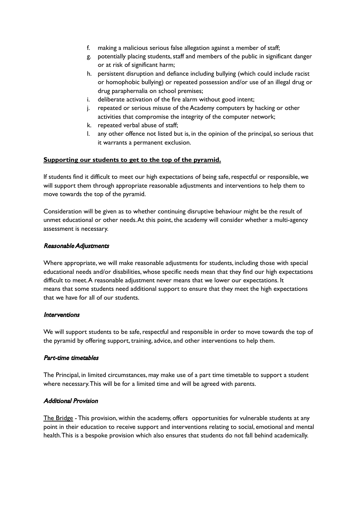- f. making a malicious serious false allegation against a member of staff;
- g. potentially placing students, staff and members of the public in significant danger or at risk of significant harm;
- h. persistent disruption and defiance including bullying (which could include racist or homophobic bullying) or repeated possession and/or use of an illegal drug or drug paraphernalia on school premises;
- i. deliberate activation of the fire alarm without good intent;
- j. repeated or serious misuse of the Academy computers by hacking or other activities that compromise the integrity of the computer network;
- k. repeated verbal abuse of staff;
- l. any other offence not listed but is, in the opinion of the principal, so serious that it warrants a permanent exclusion.

# **Supporting our students to get to the top of the pyramid.**

If students find it difficult to meet our high expectations of being safe, respectful or responsible, we will support them through appropriate reasonable adjustments and interventions to help them to move towards the top of the pyramid.

Consideration will be given as to whether continuing disruptive behaviour might be the result of unmet educational or other needs.At this point, the academy will consider whether a multi-agency assessment is necessary.

# Reasonable Adjustments

Where appropriate, we will make reasonable adjustments for students, including those with special educational needs and/or disabilities, whose specific needs mean that they find our high expectations difficult to meet.A reasonable adjustment never means that we lower our expectations. It means that some students need additional support to ensure that they meet the high expectations that we have for all of our students.

### Interventions

We will support students to be safe, respectful and responsible in order to move towards the top of the pyramid by offering support, training, advice, and other interventions to help them.

### Part-time timetables

The Principal, in limited circumstances, may make use of a part time timetable to support a student where necessary.This will be for a limited time and will be agreed with parents.

# Additional Provision

The Bridge - This provision, within the academy, offers opportunities for vulnerable students at any point in their education to receive support and interventions relating to social, emotional and mental health.This is a bespoke provision which also ensures that students do not fall behind academically.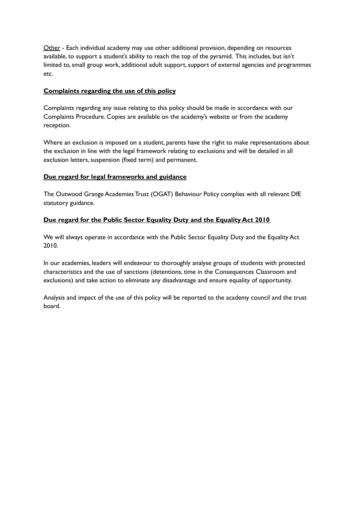Other - Each individual academy may use other additional provision, depending on resources available, to support a student's ability to reach the top of the pyramid. This includes, but isn't limited to, small group work, additional adult support, support of external agencies and programmes etc.

# **Complaints regarding the use of this policy**

Complaints regarding any issue relating to this policy should be made in accordance with our Complaints Procedure. Copies are available on the academy's website or from the academy reception.

Where an exclusion is imposed on a student, parents have the right to make representations about the exclusion in line with the legal framework relating to exclusions and will be detailed in all exclusion letters, suspension (fixed term) and permanent.

# **Due regard for legal frameworks and guidance**

The Outwood Grange Academies Trust (OGAT) Behaviour Policy complies with all relevant DfE statutory guidance.

# **Due regard for the Public Sector Equality Duty and the Equality Act 2010**

We will always operate in accordance with the Public Sector Equality Duty and the Equality Act 2010.

In our academies, leaders will endeavour to thoroughly analyse groups of students with protected characteristics and the use of sanctions (detentions, time in the Consequences Classroom and exclusions) and take action to eliminate any disadvantage and ensure equality of opportunity.

Analysis and impact of the use of this policy will be reported to the academy council and the trust board.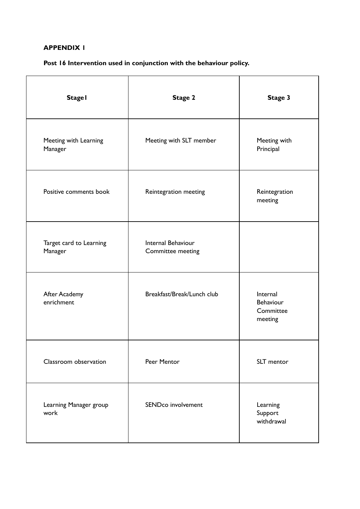# **APPENDIX 1**

# **Post 16 Intervention used in conjunction with the behaviour policy.**

| <b>Stage I</b>                     | Stage 2                                 | Stage 3                                       |
|------------------------------------|-----------------------------------------|-----------------------------------------------|
| Meeting with Learning<br>Manager   | Meeting with SLT member                 | Meeting with<br>Principal                     |
| Positive comments book             | Reintegration meeting                   | Reintegration<br>meeting                      |
| Target card to Learning<br>Manager | Internal Behaviour<br>Committee meeting |                                               |
| After Academy<br>enrichment        | Breakfast/Break/Lunch club              | Internal<br>Behaviour<br>Committee<br>meeting |
| Classroom observation              | Peer Mentor                             | SLT mentor                                    |
| Learning Manager group<br>work     | SENDco involvement                      | Learning<br>Support<br>withdrawal             |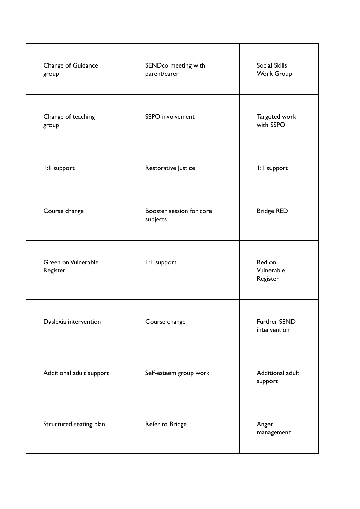| Change of Guidance<br>group     | SENDco meeting with<br>parent/carer  | Social Skills<br>Work Group      |
|---------------------------------|--------------------------------------|----------------------------------|
| Change of teaching<br>group     | SSPO involvement                     | Targeted work<br>with SSPO       |
| I:I support                     | Restorative Justice                  | I:I support                      |
| Course change                   | Booster session for core<br>subjects | <b>Bridge RED</b>                |
| Green on Vulnerable<br>Register | I:I support                          | Red on<br>Vulnerable<br>Register |
| Dyslexia intervention           | Course change                        | Further SEND<br>intervention     |
| Additional adult support        | Self-esteem group work               | Additional adult<br>support      |
| Structured seating plan         | Refer to Bridge                      | Anger<br>management              |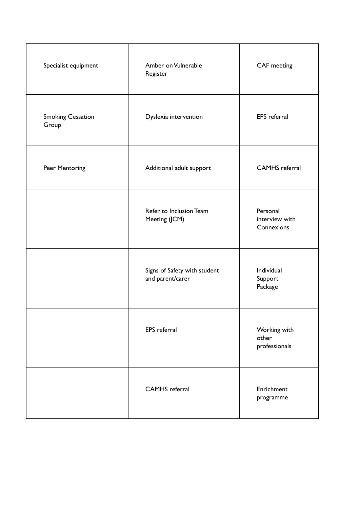| Specialist equipment              | Amber on Vulnerable<br>Register                  | <b>CAF</b> meeting                       |
|-----------------------------------|--------------------------------------------------|------------------------------------------|
| <b>Smoking Cessation</b><br>Group | Dyslexia intervention                            | <b>EPS</b> referral                      |
| Peer Mentoring                    | Additional adult support                         | <b>CAMHS</b> referral                    |
|                                   | Refer to Inclusion Team<br>Meeting (JCM)         | Personal<br>interview with<br>Connexions |
|                                   | Signs of Safety with student<br>and parent/carer | Individual<br>Support<br>Package         |
|                                   | <b>EPS</b> referral                              | Working with<br>other<br>professionals   |
|                                   | <b>CAMHS</b> referral                            | Enrichment<br>programme                  |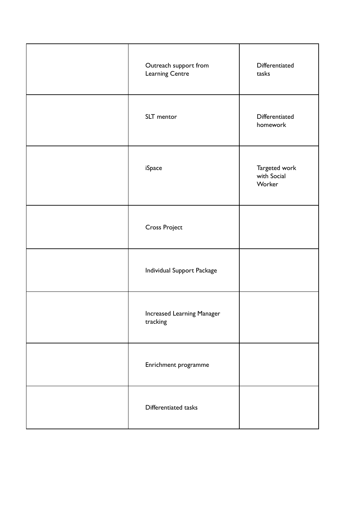| Outreach support from<br>Learning Centre | Differentiated<br>tasks                |
|------------------------------------------|----------------------------------------|
| SLT mentor                               | Differentiated<br>homework             |
| iSpace                                   | Targeted work<br>with Social<br>Worker |
| <b>Cross Project</b>                     |                                        |
| Individual Support Package               |                                        |
| Increased Learning Manager<br>tracking   |                                        |
| Enrichment programme                     |                                        |
| Differentiated tasks                     |                                        |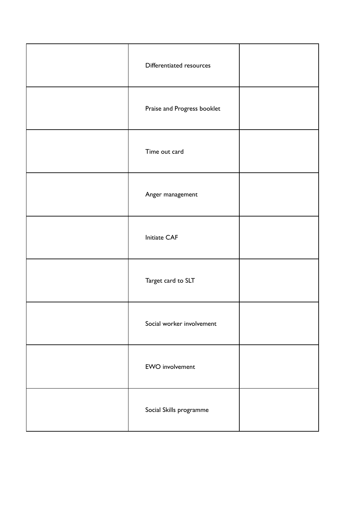| Differentiated resources    |  |
|-----------------------------|--|
| Praise and Progress booklet |  |
| Time out card               |  |
| Anger management            |  |
| Initiate CAF                |  |
| Target card to SLT          |  |
| Social worker involvement   |  |
| <b>EWO</b> involvement      |  |
| Social Skills programme     |  |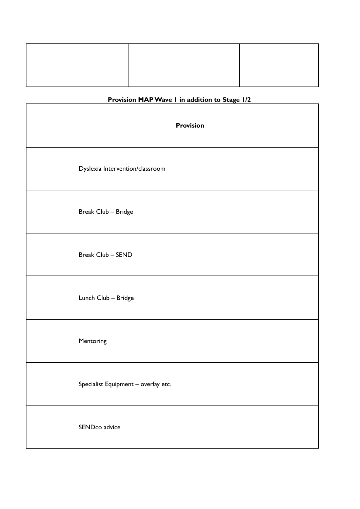# **Provision MAPWave 1 in addition to Stage 1/2**

| <b>Provision</b>                    |
|-------------------------------------|
| Dyslexia Intervention/classroom     |
| Break Club - Bridge                 |
| Break Club - SEND                   |
| Lunch Club - Bridge                 |
| Mentoring                           |
| Specialist Equipment - overlay etc. |
| SENDco advice                       |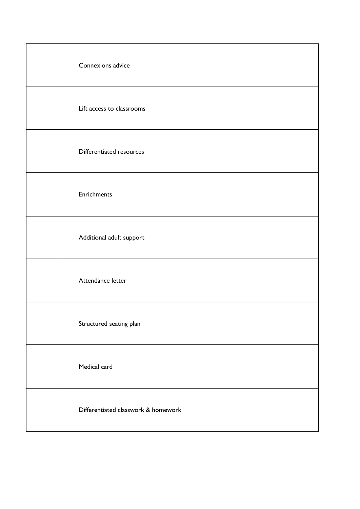| Connexions advice                   |
|-------------------------------------|
| Lift access to classrooms           |
| Differentiated resources            |
| Enrichments                         |
| Additional adult support            |
| Attendance letter                   |
| Structured seating plan             |
| Medical card                        |
| Differentiated classwork & homework |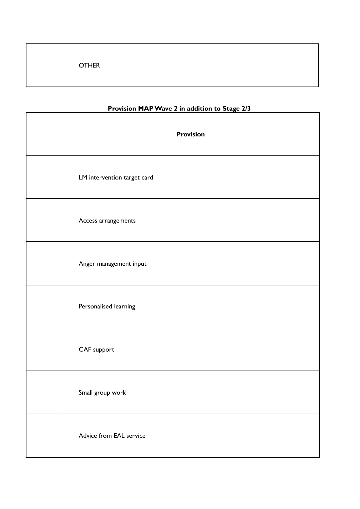|--|

# **Provision MAPWave 2 in addition to Stage 2/3**

| <b>Provision</b>            |
|-----------------------------|
| LM intervention target card |
| Access arrangements         |
| Anger management input      |
| Personalised learning       |
| CAF support                 |
| Small group work            |
| Advice from EAL service     |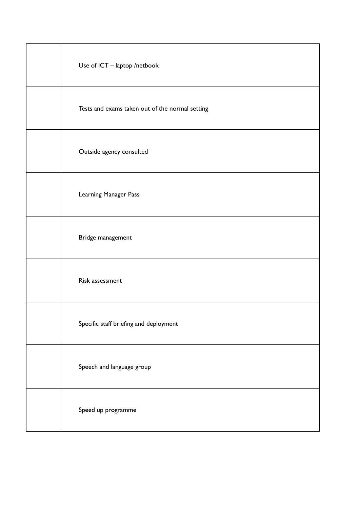| Use of ICT - laptop /netbook                    |
|-------------------------------------------------|
| Tests and exams taken out of the normal setting |
| Outside agency consulted                        |
| Learning Manager Pass                           |
| Bridge management                               |
| Risk assessment                                 |
| Specific staff briefing and deployment          |
| Speech and language group                       |
| Speed up programme                              |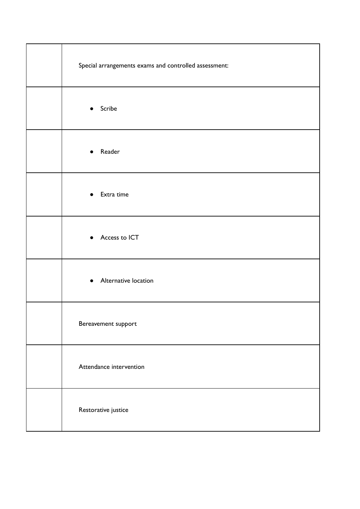| Special arrangements exams and controlled assessment: |
|-------------------------------------------------------|
| Scribe<br>$\bullet$                                   |
| Reader<br>$\bullet$                                   |
| Extra time<br>$\bullet$                               |
| • Access to ICT                                       |
| Alternative location<br>$\bullet$                     |
| Bereavement support                                   |
| Attendance intervention                               |
| Restorative justice                                   |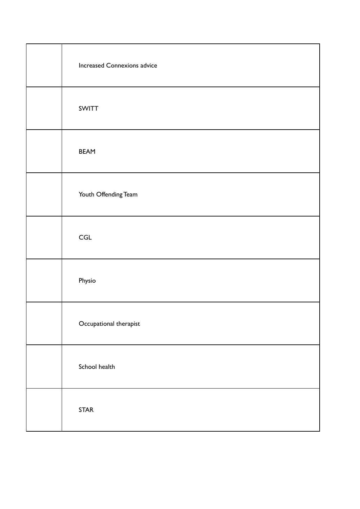| <b>Increased Connexions advice</b> |
|------------------------------------|
| SWITT                              |
| <b>BEAM</b>                        |
| Youth Offending Team               |
| $\ensuremath{\mathsf{CGL}}$        |
| Physio                             |
| Occupational therapist             |
| School health                      |
| <b>STAR</b>                        |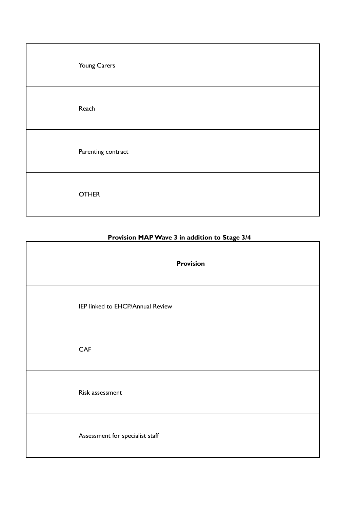| Young Carers       |
|--------------------|
| Reach              |
| Parenting contract |
| <b>OTHER</b>       |

# **Provision MAPWave 3 in addition to Stage 3/4**

 $\overline{\mathbf{1}}$ 

| .<br><b>Provision</b>            |
|----------------------------------|
| IEP linked to EHCP/Annual Review |
| <b>CAF</b>                       |
| Risk assessment                  |
| Assessment for specialist staff  |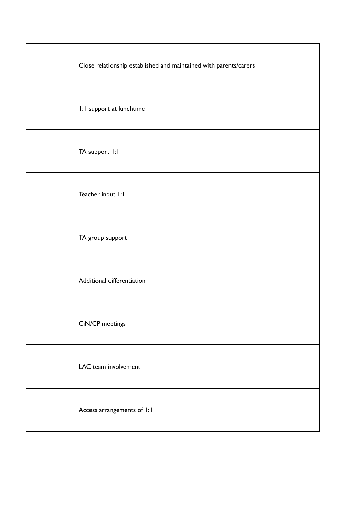| Close relationship established and maintained with parents/carers |
|-------------------------------------------------------------------|
| 1:1 support at lunchtime                                          |
| TA support I:I                                                    |
| Teacher input 1:1                                                 |
| TA group support                                                  |
| Additional differentiation                                        |
| CiN/CP meetings                                                   |
| LAC team involvement                                              |
| Access arrangements of I:I                                        |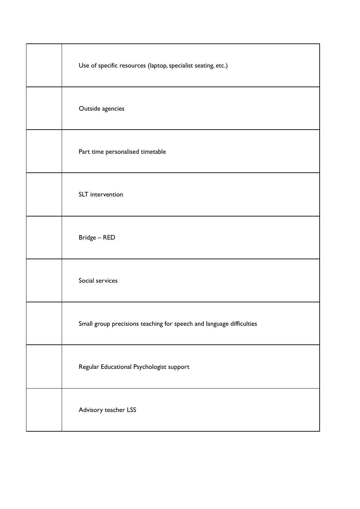| Use of specific resources (laptop, specialist seating, etc.)         |
|----------------------------------------------------------------------|
| Outside agencies                                                     |
| Part time personalised timetable                                     |
| SLT intervention                                                     |
| Bridge - RED                                                         |
| Social services                                                      |
| Small group precisions teaching for speech and language difficulties |
| Regular Educational Psychologist support                             |
| Advisory teacher LSS                                                 |